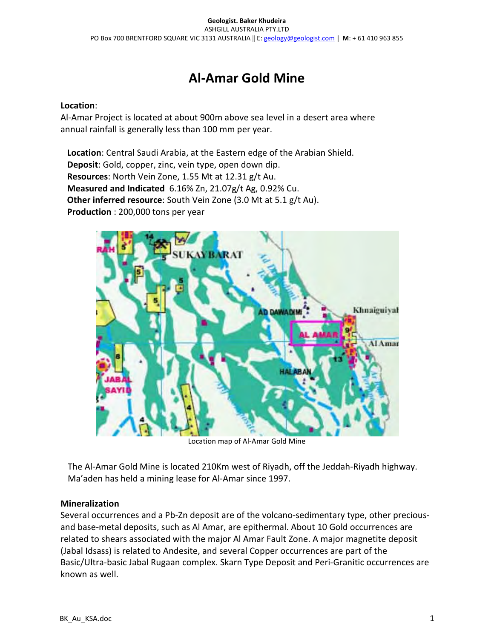# Al-Amar Gold Mine

#### Location:

Al-Amar Project is located at about 900m above sea level in a desert area where annual rainfall is generally less than 100 mm per year.

Location: Central Saudi Arabia, at the Eastern edge of the Arabian Shield. Deposit: Gold, copper, zinc, vein type, open down dip. Resources: North Vein Zone, 1.55 Mt at 12.31 g/t Au. Measured and Indicated 6.16% Zn, 21.07g/t Ag, 0.92% Cu. Other inferred resource: South Vein Zone (3.0 Mt at 5.1 g/t Au). Production : 200,000 tons per year



Location map of Al-Amar Gold Mine

The Al-Amar Gold Mine is located 210Km west of Riyadh, off the Jeddah-Riyadh highway. Ma'aden has held a mining lease for Al-Amar since 1997.

## Mineralization

Several occurrences and a Pb-Zn deposit are of the volcano-sedimentary type, other preciousand base-metal deposits, such as Al Amar, are epithermal. About 10 Gold occurrences are related to shears associated with the major Al Amar Fault Zone. A major magnetite deposit (Jabal Idsass) is related to Andesite, and several Copper occurrences are part of the Basic/Ultra-basic Jabal Rugaan complex. Skarn Type Deposit and Peri-Granitic occurrences are known as well.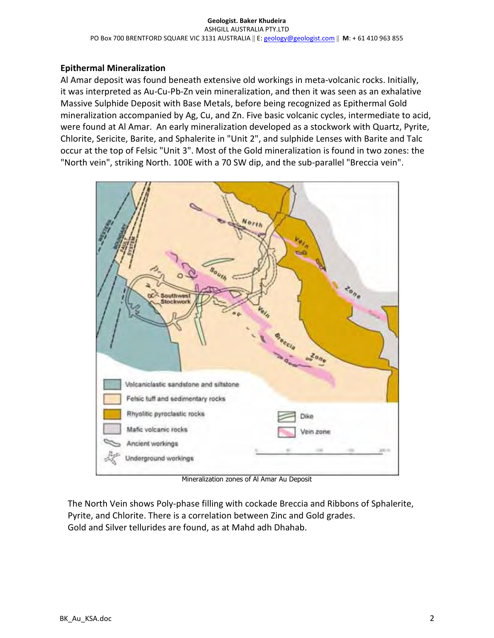## Epithermal Mineralization

Al Amar deposit was found beneath extensive old workings in meta-volcanic rocks. Initially, it was interpreted as Au-Cu-Pb-Zn vein mineralization, and then it was seen as an exhalative Massive Sulphide Deposit with Base Metals, before being recognized as Epithermal Gold mineralization accompanied by Ag, Cu, and Zn. Five basic volcanic cycles, intermediate to acid, were found at Al Amar. An early mineralization developed as a stockwork with Quartz, Pyrite, Chlorite, Sericite, Barite, and Sphalerite in "Unit 2", and sulphide Lenses with Barite and Talc occur at the top of Felsic "Unit 3". Most of the Gold mineralization is found in two zones: the "North vein", striking North. 100E with a 70 SW dip, and the sub-parallel "Breccia vein".



Mineralization zones of Al Amar Au Deposit

The North Vein shows Poly-phase filling with cockade Breccia and Ribbons of Sphalerite, Pyrite, and Chlorite. There is a correlation between Zinc and Gold grades. Gold and Silver tellurides are found, as at Mahd adh Dhahab.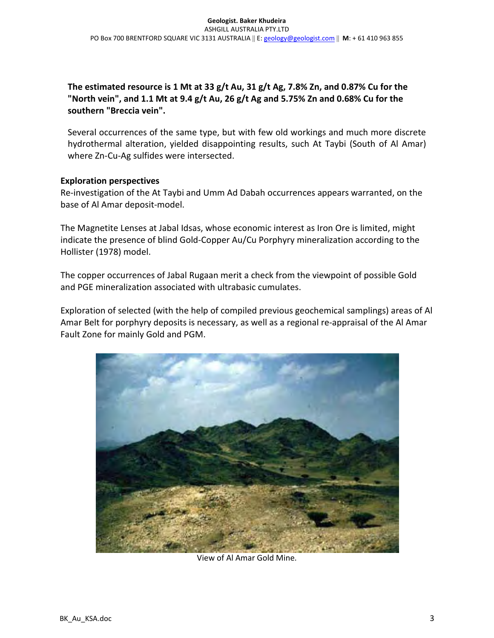The estimated resource is 1 Mt at 33 g/t Au, 31 g/t Ag, 7.8% Zn, and 0.87% Cu for the "North vein", and 1.1 Mt at 9.4 g/t Au, 26 g/t Ag and 5.75% Zn and 0.68% Cu for the southern "Breccia vein".

Several occurrences of the same type, but with few old workings and much more discrete hydrothermal alteration, yielded disappointing results, such At Taybi (South of Al Amar) where Zn-Cu-Ag sulfides were intersected.

#### Exploration perspectives

Re-investigation of the At Taybi and Umm Ad Dabah occurrences appears warranted, on the base of Al Amar deposit-model.

The Magnetite Lenses at Jabal Idsas, whose economic interest as Iron Ore is limited, might indicate the presence of blind Gold-Copper Au/Cu Porphyry mineralization according to the Hollister (1978) model.

The copper occurrences of Jabal Rugaan merit a check from the viewpoint of possible Gold and PGE mineralization associated with ultrabasic cumulates.

Exploration of selected (with the help of compiled previous geochemical samplings) areas of Al Amar Belt for porphyry deposits is necessary, as well as a regional re-appraisal of the Al Amar Fault Zone for mainly Gold and PGM.



View of Al Amar Gold Mine.